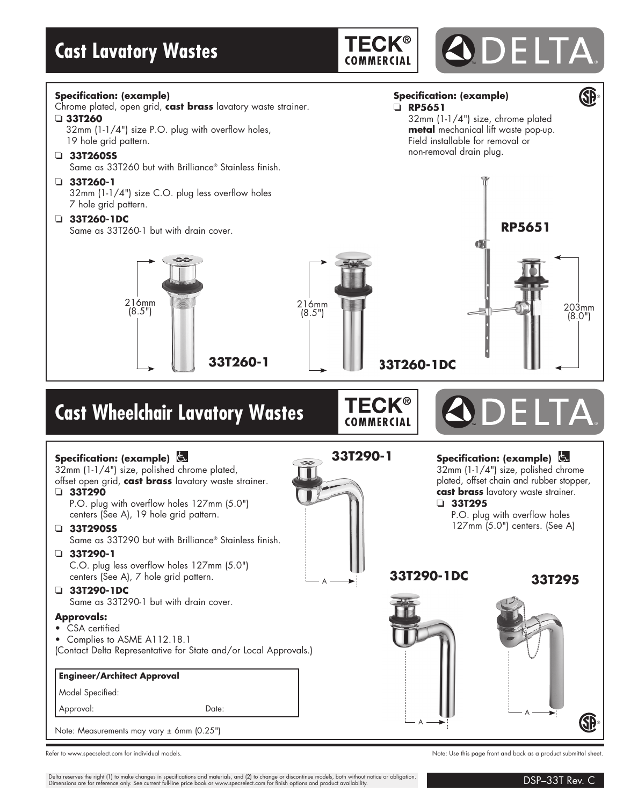#### **TECK® ADELTA Cast Lavatory Wastes COMMERCIAL** GB **Specification: (example) Specification: (example)** ® Chrome plated, open grid, **cast brass** lavatory waste strainer. o **RP5651** o **33T260** 32mm (1-1/4") size, chrome plated 32mm (1-1/4") size P.O. plug with overflow holes, **metal** mechanical lift waste pop-up. Field installable for removal or 19 hole grid pattern. non-removal drain plug. o **33T260SS** Same as 33T260 but with Brilliance® Stainless finish. o **33T260-1** 32mm (1-1/4") size C.O. plug less overflow holes 7 hole grid pattern. o **33T260-1DC RP5651** Same as 33T260-1 but with drain cover. 216mm 216mm 203mm (8.5") (8.5") (8.0") **33T260-1 33T260-1DC TECK® Cast Wheelchair Lavatory Wastes COMMERCIAL 33T290-1 Specification: (example) Specification: (example)**  32mm (1-1/4") size, polished chrome plated, 32mm (1-1/4") size, polished chrome offset open grid, **cast brass** lavatory waste strainer. plated, offset chain and rubber stopper, **cast brass** lavatory waste strainer. o **33T290** P.O. plug with overflow holes 127mm (5.0") o **33T295** centers (See A), 19 hole grid pattern. P.O. plug with overflow holes 127mm (5.0") centers. (See A) o **33T290SS** Same as 33T290 but with Brilliance® Stainless finish. o **33T290-1** C.O. plug less overflow holes 127mm (5.0") <sup>A</sup> **33T290-1DC** centers (See A), 7 hole grid pattern. **33T295** o **33T290-1DC** Same as 33T290-1 but with drain cover. **Approvals:** • CSA certified • Complies to ASME A112.18.1 (Contact Delta Representative for State and/or Local Approvals.)

# **Engineer/Architect Approval**

Model Specified:

Approval: Date:

Note: Measurements may vary ± 6mm (0.25")

A

A

DSP–33T Rev. C Page 8.C.1 DSP–33T Rev. C

®

**GB** 

Refer to www.specselect.com for individual models. Note: Use this page front and back as a product submittal sheet